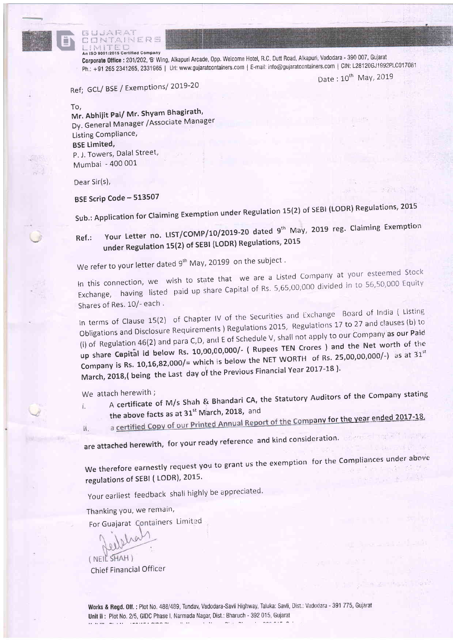# B U JARAT<br>D D N TAINERS

#### An ISO 9001:2015 Certified Company

Corporate Office: 201/202, 'B' Wing, Alkapuri Arcade, Opp. Welcome Hotel, R.C. Dutt Road, Alkapuri, Vadodara - 390 007, Gujarat ph.: +91 26b 2341265,2391S65 | Url: wwwgujaratcontainers.com I E-mail: info@gujaratcontainers.c0m I CIN: 128'120GJ1992P1C017081

Date: 10th May, 2019

Ref; GCL/ BSE / Exemptions/ 2019-20

To,<br>Mr. Abhijit Pai/ Mr. Shyam Bhagirath Dy. General Manager /Associate Manager Listing Compliance, BSE Limited, P. J. Towers, Dalal Street, Mumbai - 400 001

Dear Sir(s),

### BSE Scrip Code - 513507

Sub.: Application for Claiming Exemption under Regulation 15(2) of SEBI (LODR) Regulations, 2015

### Ref.: Your Letter no. LIST/COMP/10/2019-20 dated 9<sup>th</sup> May, 2019 reg. Claiming Exemption under Regulation 15(2) of SEBI (LODR) Regulations, 2015

We refer to your letter dated 9<sup>th</sup> May, 20199 on the subject.

In this connection, we wish to state that we are a Listed Company at your esteemed Stock<br>Capital of Bs. 5.65.00.000 divided in to 56,50,000 Equity Exchange, having listed paid up share Capital Stringers, the capitalogue Shares of Res. 10/- each. in to 56,50,000 Equity

In terms of Clause 15(2) of Chapter IV of the Securities and Exchange Board of India ( Listing Obligations and Disclosure Requirements ) Regulations 2015, Regulations 17 to 27 and clauses (b) to (i) of Regulation 46(2) and para C,D, and E of Schedule V, shall not apply to our Company as our Paid up share Capital id below Rs. 10,00,00,000/- ( Rupees TEN Crores ) and the Net worth of the Company is Rs. 10,16,82,000/= which is below the NET WORTH of Rs. 25,00,00,000/-) as at  $31^{st}$ March, 2018,( being the Last day of the Previous Financial Year 2017-18).

We attach herewith ;

ii.

- ch herewith ;<br>A certificate of M/s Shah & Bhandari CA, the Statutory Auditors of the Company stating the above facts as at  $31^{st}$  March, 2018, and
	- a certified Copy of our Printed Annual Report of the Company for the year ended 2017-18.

are attached herewith, for your ready reference and kind consideration.

We therefore earnestly request you to grant us the exemption for the Compliances under above regulations of SEBI ( LODR), 2015.

Your earliest feedback shall highly be appreciated.

Thanking you, we remain,

For Guajarat Gontainers Limited

(NEIL SHAH) Chief Financial Officer